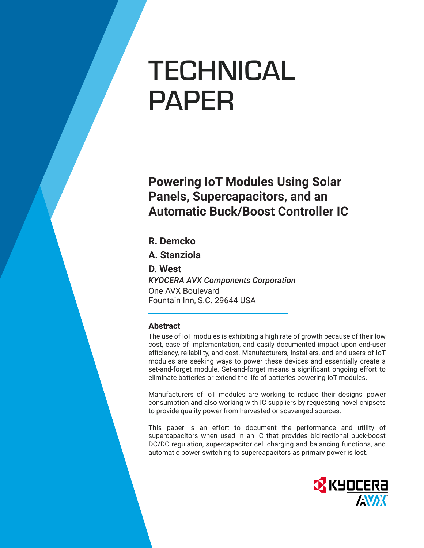# **TECHNICAL** PAPER

**Powering IoT Modules Using Solar Panels, Supercapacitors, and an Automatic Buck/Boost Controller IC** 

### **R. Demcko**

**A. Stanziola**

**D. West** *KYOCERA AVX Components Corporation* One AVX Boulevard Fountain Inn, S.C. 29644 USA

#### **Abstract**

The use of IoT modules is exhibiting a high rate of growth because of their low cost, ease of implementation, and easily documented impact upon end-user efficiency, reliability, and cost. Manufacturers, installers, and end-users of IoT modules are seeking ways to power these devices and essentially create a set-and-forget module. Set-and-forget means a significant ongoing effort to eliminate batteries or extend the life of batteries powering IoT modules.

Manufacturers of IoT modules are working to reduce their designs' power consumption and also working with IC suppliers by requesting novel chipsets to provide quality power from harvested or scavenged sources.

This paper is an effort to document the performance and utility of supercapacitors when used in an IC that provides bidirectional buck-boost DC/DC regulation, supercapacitor cell charging and balancing functions, and automatic power switching to supercapacitors as primary power is lost.

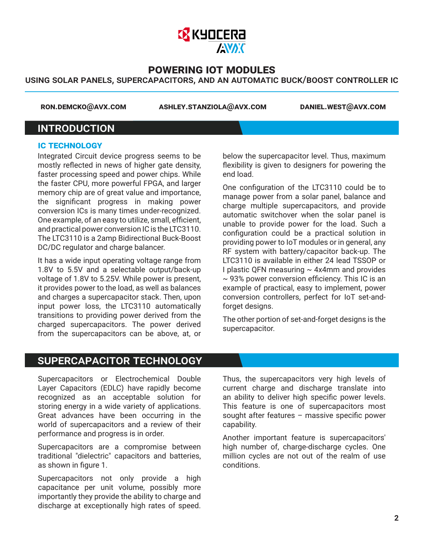

#### using solar panels, supercapacitors, and an automatic buck/boost controller ic

 **ron.demcko@avx.com ashley.stanziola@avx.com daniel.west@avx.com**

## **INTRODUCTION**

#### **ic technology**

Integrated Circuit device progress seems to be mostly reflected in news of higher gate density, faster processing speed and power chips. While the faster CPU, more powerful FPGA, and larger memory chip are of great value and importance, the significant progress in making power conversion ICs is many times under-recognized. One example, of an easy to utilize, small, efficient, and practical power conversion IC is the LTC3110. The LTC3110 is a 2amp Bidirectional Buck-Boost DC/DC regulator and charge balancer.

It has a wide input operating voltage range from 1.8V to 5.5V and a selectable output/back-up voltage of 1.8V to 5.25V. While power is present, it provides power to the load, as well as balances and charges a supercapacitor stack. Then, upon input power loss, the LTC3110 automatically transitions to providing power derived from the charged supercapacitors. The power derived from the supercapacitors can be above, at, or

below the supercapacitor level. Thus, maximum flexibility is given to designers for powering the end load.

One configuration of the LTC3110 could be to manage power from a solar panel, balance and charge multiple supercapacitors, and provide automatic switchover when the solar panel is unable to provide power for the load. Such a configuration could be a practical solution in providing power to IoT modules or in general, any RF system with battery/capacitor back-up. The LTC3110 is available in either 24 lead TSSOP or I plastic QFN measuring  $\sim$  4x4mm and provides  $\sim$  93% power conversion efficiency. This IC is an example of practical, easy to implement, power conversion controllers, perfect for IoT set-andforget designs.

The other portion of set-and-forget designs is the supercapacitor.

## supercapacitor technology

Supercapacitors or Electrochemical Double Layer Capacitors (EDLC) have rapidly become recognized as an acceptable solution for storing energy in a wide variety of applications. Great advances have been occurring in the world of supercapacitors and a review of their performance and progress is in order.

Supercapacitors are a compromise between traditional "dielectric" capacitors and batteries, as shown in figure 1.

Supercapacitors not only provide a high capacitance per unit volume, possibly more importantly they provide the ability to charge and discharge at exceptionally high rates of speed.

Thus, the supercapacitors very high levels of current charge and discharge translate into an ability to deliver high specific power levels. This feature is one of supercapacitors most sought after features – massive specific power capability.

Another important feature is supercapacitors' high number of, charge-discharge cycles. One million cycles are not out of the realm of use conditions.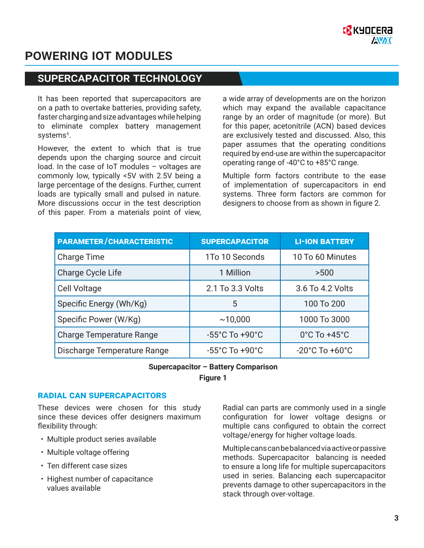## supercapacitor technology

It has been reported that supercapacitors are on a path to overtake batteries, providing safety, faster charging and size advantages while helping to eliminate complex battery management systems<sup>1</sup>.

However, the extent to which that is true depends upon the charging source and circuit load. In the case of IoT modules – voltages are commonly low, typically <5V with 2.5V being a large percentage of the designs. Further, current loads are typically small and pulsed in nature. More discussions occur in the test description of this paper. From a materials point of view,

a wide array of developments are on the horizon which may expand the available capacitance range by an order of magnitude (or more). But for this paper, acetonitrile (ACN) based devices are exclusively tested and discussed. Also, this paper assumes that the operating conditions required by end-use are within the supercapacitor operating range of -40°C to +85°C range.

Multiple form factors contribute to the ease of implementation of supercapacitors in end systems. Three form factors are common for designers to choose from as shown in figure 2.

| <b>PARAMETER/CHARACTERISTIC</b> | <b>SUPERCAPACITOR</b>              | <b>LI-ION BATTERY</b>              |  |
|---------------------------------|------------------------------------|------------------------------------|--|
| <b>Charge Time</b>              | 1To 10 Seconds                     | 10 To 60 Minutes                   |  |
| Charge Cycle Life               | 1 Million                          | >500                               |  |
| <b>Cell Voltage</b>             | 2.1 To 3.3 Volts                   | 3.6 To 4.2 Volts                   |  |
| Specific Energy (Wh/Kg)         | 5                                  | 100 To 200                         |  |
| Specific Power (W/Kg)           | ~10,000                            | 1000 To 3000                       |  |
| <b>Charge Temperature Range</b> | $-55^{\circ}$ C To $+90^{\circ}$ C | $0^{\circ}$ C To +45 $^{\circ}$ C  |  |
| Discharge Temperature Range     | $-55^{\circ}$ C To $+90^{\circ}$ C | $-20^{\circ}$ C To $+60^{\circ}$ C |  |

#### **Supercapacitor – Battery Comparison**

**Figure 1**

#### **radial can supercapacitors**

These devices were chosen for this study since these devices offer designers maximum flexibility through:

- Multiple product series available
- Multiple voltage offering
- Ten different case sizes
- Highest number of capacitance values available

Radial can parts are commonly used in a single configuration for lower voltage designs or multiple cans configured to obtain the correct voltage/energy for higher voltage loads.

Multiple cans can be balanced via active or passive methods. Supercapacitor balancing is needed to ensure a long life for multiple supercapacitors used in series. Balancing each supercapacitor prevents damage to other supercapacitors in the stack through over-voltage.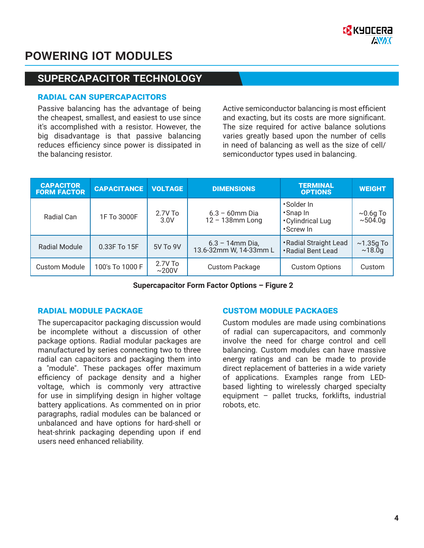

## supercapacitor technology

#### **radial can supercapacitors**

Passive balancing has the advantage of being the cheapest, smallest, and easiest to use since it's accomplished with a resistor. However, the big disadvantage is that passive balancing reduces efficiency since power is dissipated in the balancing resistor.

Active semiconductor balancing is most efficient and exacting, but its costs are more significant. The size required for active balance solutions varies greatly based upon the number of cells in need of balancing as well as the size of cell/ semiconductor types used in balancing.

| <b>CAPACITOR</b><br><b>FORM FACTOR</b> | <b>CAPACITANCE</b> | <b>VOLTAGE</b>     | <b>DIMENSIONS</b>                            | <b>TERMINAL</b><br><b>OPTIONS</b>                         | <b>WEIGHT</b>             |
|----------------------------------------|--------------------|--------------------|----------------------------------------------|-----------------------------------------------------------|---------------------------|
| Radial Can                             | 1F To 3000F        | $2.7V$ To<br>3.0V  | $6.3 - 60$ mm Dia<br>$12 - 138$ mm Long      | •Solder In<br>•Snap In<br>• Cylindrical Lug<br>• Screw In | $~10.69$ To<br>~504.0g    |
| <b>Radial Module</b>                   | 0.33F To 15F       | 5V To 9V           | $6.3 - 14$ mm Dia,<br>13.6-32mm W, 14-33mm L | • Radial Straight Lead<br>• Radial Bent Lead              | $\sim$ 1.35g To<br>~18.0q |
| <b>Custom Module</b>                   | 100's To 1000 F    | $2.7V$ To<br>~200V | <b>Custom Package</b>                        | <b>Custom Options</b>                                     | Custom                    |

**Supercapacitor Form Factor Options – Figure 2**

The supercapacitor packaging discussion would be incomplete without a discussion of other package options. Radial modular packages are manufactured by series connecting two to three radial can capacitors and packaging them into a "module". These packages offer maximum efficiency of package density and a higher voltage, which is commonly very attractive for use in simplifying design in higher voltage battery applications. As commented on in prior paragraphs, radial modules can be balanced or unbalanced and have options for hard-shell or heat-shrink packaging depending upon if end users need enhanced reliability.

#### **radial module package custom module packages**

Custom modules are made using combinations of radial can supercapacitors, and commonly involve the need for charge control and cell balancing. Custom modules can have massive energy ratings and can be made to provide direct replacement of batteries in a wide variety of applications. Examples range from LEDbased lighting to wirelessly charged specialty equipment – pallet trucks, forklifts, industrial robots, etc.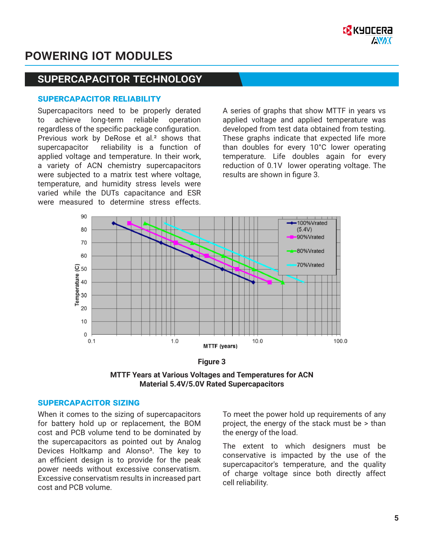

## supercapacitor technology

#### **supercapacitor reliability**

Supercapacitors need to be properly derated to achieve long-term reliable operation regardless of the specific package configuration. Previous work by DeRose et al.<sup>2</sup> shows that supercapacitor reliability is a function of applied voltage and temperature. In their work, a variety of ACN chemistry supercapacitors were subjected to a matrix test where voltage, temperature, and humidity stress levels were varied while the DUTs capacitance and ESR were measured to determine stress effects.

A series of graphs that show MTTF in years vs applied voltage and applied temperature was developed from test data obtained from testing. These graphs indicate that expected life more than doubles for every 10°C lower operating temperature. Life doubles again for every reduction of 0.1V lower operating voltage. The results are shown in figure 3.





**MTTF Years at Various Voltages and Temperatures for ACN Material 5.4V/5.0V Rated Supercapacitors**

#### **supercapacitor sizing**

When it comes to the sizing of supercapacitors for battery hold up or replacement, the BOM cost and PCB volume tend to be dominated by the supercapacitors as pointed out by Analog Devices Holtkamp and Alonso<sup>3</sup>. The key to an efficient design is to provide for the peak power needs without excessive conservatism. Excessive conservatism results in increased part cost and PCB volume.

To meet the power hold up requirements of any project, the energy of the stack must be > than the energy of the load.

The extent to which designers must be conservative is impacted by the use of the supercapacitor's temperature, and the quality of charge voltage since both directly affect cell reliability.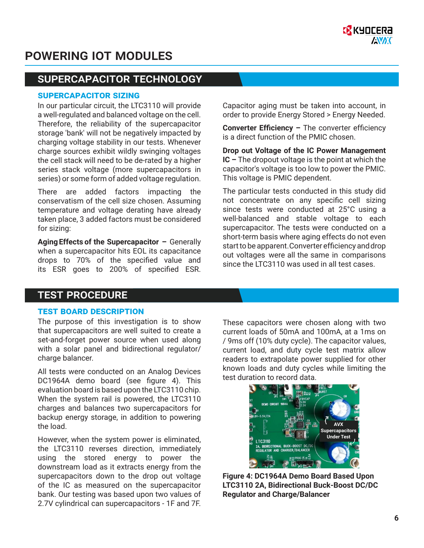## supercapacitor technology

#### **supercapacitor sizing**

In our particular circuit, the LTC3110 will provide a well-regulated and balanced voltage on the cell. Therefore, the reliability of the supercapacitor storage 'bank' will not be negatively impacted by charging voltage stability in our tests. Whenever charge sources exhibit wildly swinging voltages the cell stack will need to be de-rated by a higher series stack voltage (more supercapacitors in series) or some form of added voltage regulation.

There are added factors impacting the conservatism of the cell size chosen. Assuming temperature and voltage derating have already taken place, 3 added factors must be considered for sizing:

**Aging Effects of the Supercapacitor –** Generally when a supercapacitor hits EOL its capacitance drops to 70% of the specified value and its ESR goes to 200% of specified ESR.

Capacitor aging must be taken into account, in order to provide Energy Stored > Energy Needed.

**Converter Efficiency –** The converter efficiency is a direct function of the PMIC chosen.

**Drop out Voltage of the IC Power Management IC –** The dropout voltage is the point at which the capacitor's voltage is too low to power the PMIC. This voltage is PMIC dependent.

The particular tests conducted in this study did not concentrate on any specific cell sizing since tests were conducted at 25°C using a well-balanced and stable voltage to each supercapacitor. The tests were conducted on a short-term basis where aging effects do not even start to be apparent. Converter efficiency and drop out voltages were all the same in comparisons since the LTC3110 was used in all test cases.

#### test procedure

#### **test board description**

The purpose of this investigation is to show that supercapacitors are well suited to create a set-and-forget power source when used along with a solar panel and bidirectional regulator/ charge balancer.

All tests were conducted on an Analog Devices DC1964A demo board (see figure 4). This evaluation board is based upon the LTC3110 chip. When the system rail is powered, the LTC3110 charges and balances two supercapacitors for backup energy storage, in addition to powering the load.

However, when the system power is eliminated, the LTC3110 reverses direction, immediately using the stored energy to power the downstream load as it extracts energy from the supercapacitors down to the drop out voltage of the IC as measured on the supercapacitor bank. Our testing was based upon two values of 2.7V cylindrical can supercapacitors - 1F and 7F.

These capacitors were chosen along with two current loads of 50mA and 100mA, at a 1ms on / 9ms off (10% duty cycle). The capacitor values, current load, and duty cycle test matrix allow readers to extrapolate power supplied for other known loads and duty cycles while limiting the test duration to record data.



**Figure 4: DC1964A Demo Board Based Upon LTC3110 2A, Bidirectional Buck-Boost DC/DC Regulator and Charge/Balancer**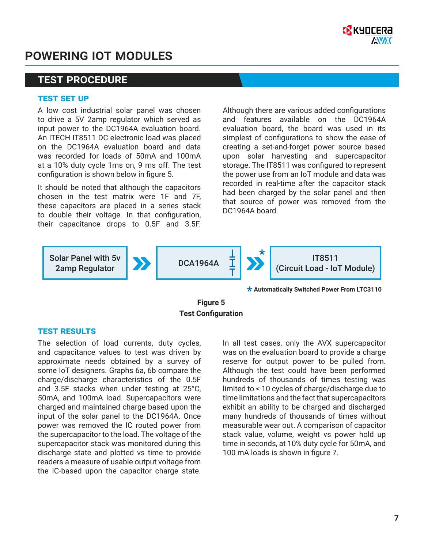

### test procedure

#### **test set up**

A low cost industrial solar panel was chosen to drive a 5V 2amp regulator which served as input power to the DC1964A evaluation board. An ITECH IT8511 DC electronic load was placed on the DC1964A evaluation board and data was recorded for loads of 50mA and 100mA at a 10% duty cycle 1ms on, 9 ms off. The test configuration is shown below in figure 5.

It should be noted that although the capacitors chosen in the test matrix were 1F and 7F, these capacitors are placed in a series stack to double their voltage. In that configuration, their capacitance drops to 0.5F and 3.5F.

Although there are various added configurations and features available on the DC1964A evaluation board, the board was used in its simplest of configurations to show the ease of creating a set-and-forget power source based upon solar harvesting and supercapacitor storage. The IT8511 was configured to represent the power use from an IoT module and data was recorded in real-time after the capacitor stack had been charged by the solar panel and then that source of power was removed from the DC1964A board.



**Automatically Switched Power From LTC3110 \***

**Figure 5 Test Configuration**

#### **test results**

The selection of load currents, duty cycles, and capacitance values to test was driven by approximate needs obtained by a survey of some IoT designers. Graphs 6a, 6b compare the charge/discharge characteristics of the 0.5F and 3.5F stacks when under testing at 25°C, 50mA, and 100mA load. Supercapacitors were charged and maintained charge based upon the input of the solar panel to the DC1964A. Once power was removed the IC routed power from the supercapacitor to the load. The voltage of the supercapacitor stack was monitored during this discharge state and plotted vs time to provide readers a measure of usable output voltage from the IC-based upon the capacitor charge state.

In all test cases, only the AVX supercapacitor was on the evaluation board to provide a charge reserve for output power to be pulled from. Although the test could have been performed hundreds of thousands of times testing was limited to < 10 cycles of charge/discharge due to time limitations and the fact that supercapacitors exhibit an ability to be charged and discharged many hundreds of thousands of times without measurable wear out. A comparison of capacitor stack value, volume, weight vs power hold up time in seconds, at 10% duty cycle for 50mA, and 100 mA loads is shown in figure 7.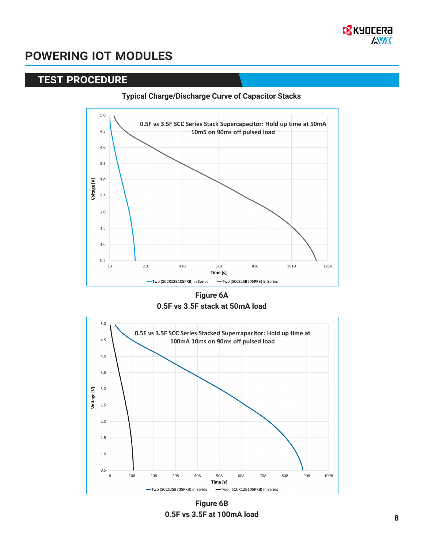

### test procedure

#### **Typical Charge/Discharge Curve of Capacitor Stacks**



**Figure 6A 0.5F vs 3.5F stack at 50mA load** 



**Figure 6B 0.5F vs 3.5F at 100mA load**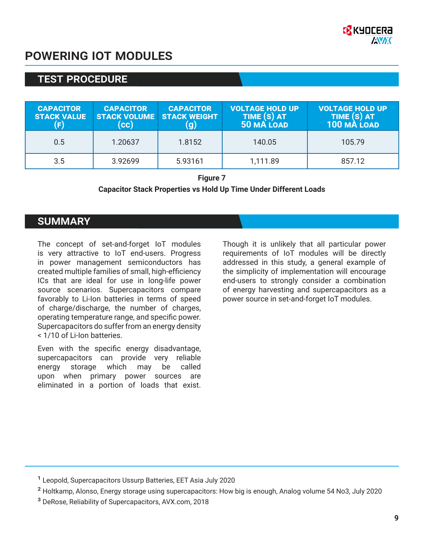

## test procedure

| <b>CAPACITOR</b><br><b>STACK VALUE</b><br>(F) | <b>CAPACITOR</b><br><b>STACK VOLUME STACK WEIGHT</b><br>(cc) | <b>CAPACITOR</b><br><u>g)</u> | <b>VOLTAGE HOLD UP</b><br>TIME (S) AT<br>50 MA LOAD | <b>VOLTAGE HOLD UP</b><br>TIME (S) AT<br>100 MÀ LOAD |
|-----------------------------------------------|--------------------------------------------------------------|-------------------------------|-----------------------------------------------------|------------------------------------------------------|
| 0.5                                           | 1.20637                                                      | 1.8152                        | 140.05                                              | 105.79                                               |
| 3.5                                           | 3.92699                                                      | 5.93161                       | 1,111.89                                            | 857.12                                               |

**Figure 7**

#### **Capacitor Stack Properties vs Hold Up Time Under Different Loads**

#### **SUMMARY**

The concept of set-and-forget IoT modules is very attractive to IoT end-users. Progress in power management semiconductors has created multiple families of small, high-efficiency ICs that are ideal for use in long-life power source scenarios. Supercapacitors compare favorably to Li-Ion batteries in terms of speed of charge/discharge, the number of charges, operating temperature range, and specific power. Supercapacitors do suffer from an energy density < 1/10 of Li-Ion batteries.

Even with the specific energy disadvantage, supercapacitors can provide very reliable energy storage which may be called upon when primary power sources are eliminated in a portion of loads that exist.

Though it is unlikely that all particular power requirements of IoT modules will be directly addressed in this study, a general example of the simplicity of implementation will encourage end-users to strongly consider a combination of energy harvesting and supercapacitors as a power source in set-and-forget IoT modules.

<sup>&</sup>lt;sup>1</sup> Leopold, Supercapacitors Ussurp Batteries, EET Asia July 2020

² Holtkamp, Alonso, Energy storage using supercapacitors: How big is enough, Analog volume 54 No3, July 2020

³ DeRose, Reliability of Supercapacitors, AVX.com, 2018